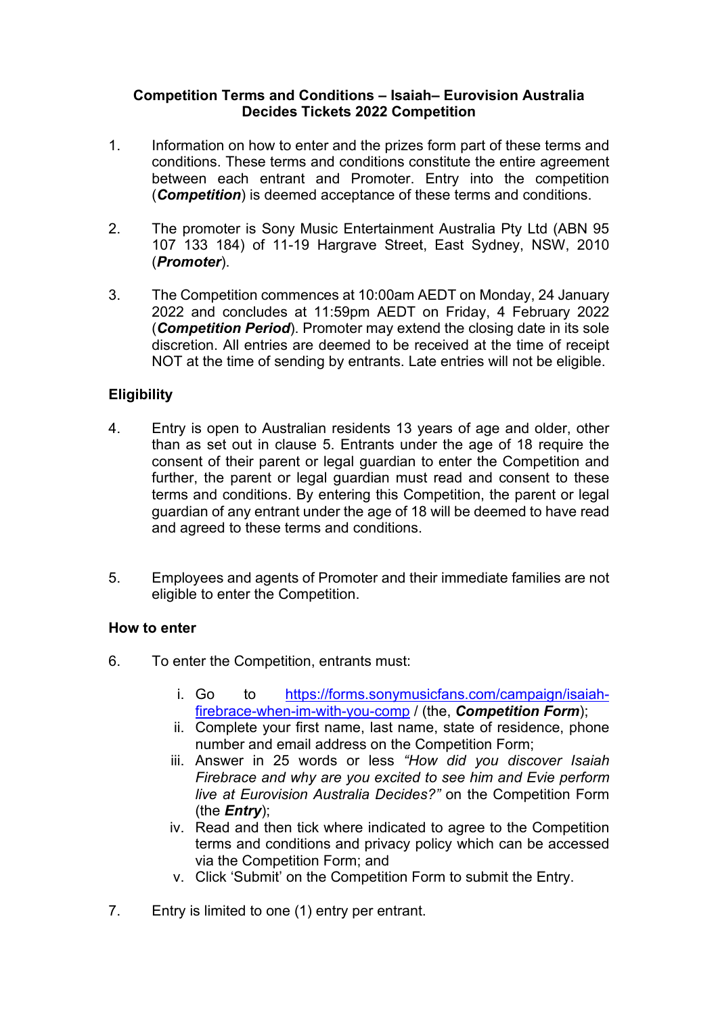#### **Competition Terms and Conditions – Isaiah– Eurovision Australia Decides Tickets 2022 Competition**

- 1. Information on how to enter and the prizes form part of these terms and conditions. These terms and conditions constitute the entire agreement between each entrant and Promoter. Entry into the competition (*Competition*) is deemed acceptance of these terms and conditions.
- 2. The promoter is Sony Music Entertainment Australia Pty Ltd (ABN 95 107 133 184) of 11-19 Hargrave Street, East Sydney, NSW, 2010 (*Promoter*).
- 3. The Competition commences at 10:00am AEDT on Monday, 24 January 2022 and concludes at 11:59pm AEDT on Friday, 4 February 2022 (*Competition Period*). Promoter may extend the closing date in its sole discretion. All entries are deemed to be received at the time of receipt NOT at the time of sending by entrants. Late entries will not be eligible.

# **Eligibility**

- 4. Entry is open to Australian residents 13 years of age and older, other than as set out in clause 5. Entrants under the age of 18 require the consent of their parent or legal guardian to enter the Competition and further, the parent or legal guardian must read and consent to these terms and conditions. By entering this Competition, the parent or legal guardian of any entrant under the age of 18 will be deemed to have read and agreed to these terms and conditions.
- 5. Employees and agents of Promoter and their immediate families are not eligible to enter the Competition.

# **How to enter**

- 6. To enter the Competition, entrants must:
	- i. Go to [https://forms.sonymusicfans.com/campaign/isaiah](https://forms.sonymusicfans.com/campaign/isaiah-firebrace-when-im-with-you-comp)[firebrace-when-im-with-you-comp](https://forms.sonymusicfans.com/campaign/isaiah-firebrace-when-im-with-you-comp) / (the, *Competition Form*);
	- ii. Complete your first name, last name, state of residence, phone number and email address on the Competition Form;
	- iii. Answer in 25 words or less *"How did you discover Isaiah Firebrace and why are you excited to see him and Evie perform live at Eurovision Australia Decides?"* on the Competition Form (the *Entry*);
	- iv. Read and then tick where indicated to agree to the Competition terms and conditions and privacy policy which can be accessed via the Competition Form; and
	- v. Click 'Submit' on the Competition Form to submit the Entry.
- 7. Entry is limited to one (1) entry per entrant.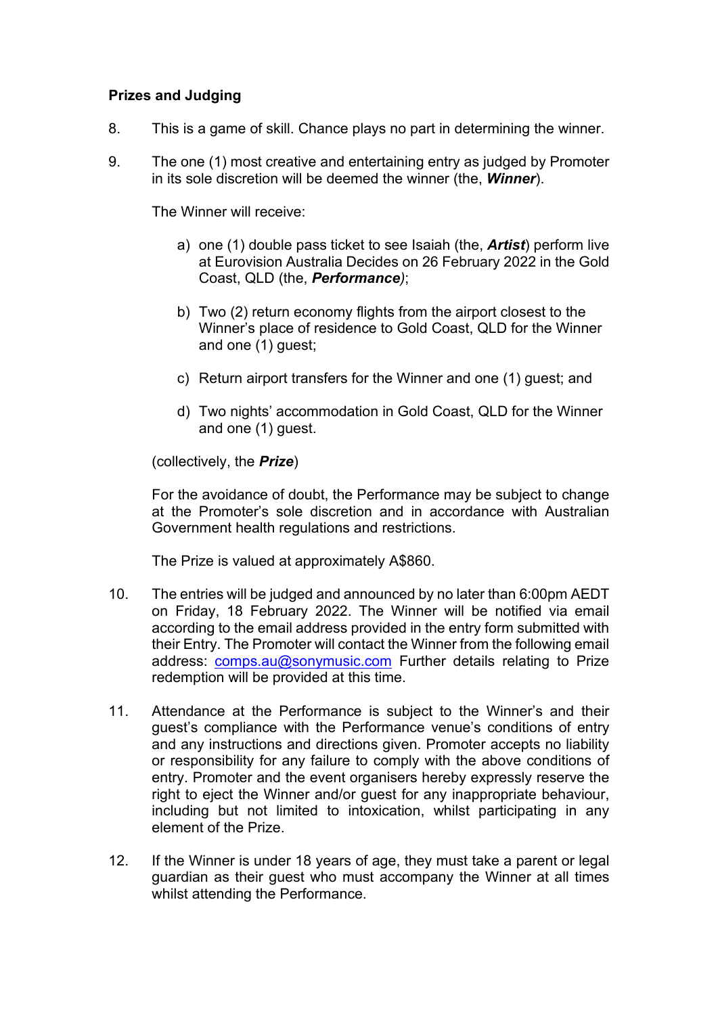### **Prizes and Judging**

- 8. This is a game of skill. Chance plays no part in determining the winner.
- 9. The one (1) most creative and entertaining entry as judged by Promoter in its sole discretion will be deemed the winner (the, *Winner*).

The Winner will receive:

- a) one (1) double pass ticket to see Isaiah (the, *Artist*) perform live at Eurovision Australia Decides on 26 February 2022 in the Gold Coast, QLD (the, *Performance)*;
- b) Two (2) return economy flights from the airport closest to the Winner's place of residence to Gold Coast, QLD for the Winner and one (1) guest;
- c) Return airport transfers for the Winner and one (1) guest; and
- d) Two nights' accommodation in Gold Coast, QLD for the Winner and one (1) guest.

(collectively, the *Prize*)

For the avoidance of doubt, the Performance may be subject to change at the Promoter's sole discretion and in accordance with Australian Government health regulations and restrictions.

The Prize is valued at approximately A\$860.

- 10. The entries will be judged and announced by no later than 6:00pm AEDT on Friday, 18 February 2022. The Winner will be notified via email according to the email address provided in the entry form submitted with their Entry. The Promoter will contact the Winner from the following email address: [comps.au@sonymusic.com](mailto:comps.au@sonymusic.com) Further details relating to Prize redemption will be provided at this time.
- 11. Attendance at the Performance is subject to the Winner's and their guest's compliance with the Performance venue's conditions of entry and any instructions and directions given. Promoter accepts no liability or responsibility for any failure to comply with the above conditions of entry. Promoter and the event organisers hereby expressly reserve the right to eject the Winner and/or guest for any inappropriate behaviour, including but not limited to intoxication, whilst participating in any element of the Prize.
- 12. If the Winner is under 18 years of age, they must take a parent or legal guardian as their guest who must accompany the Winner at all times whilst attending the Performance.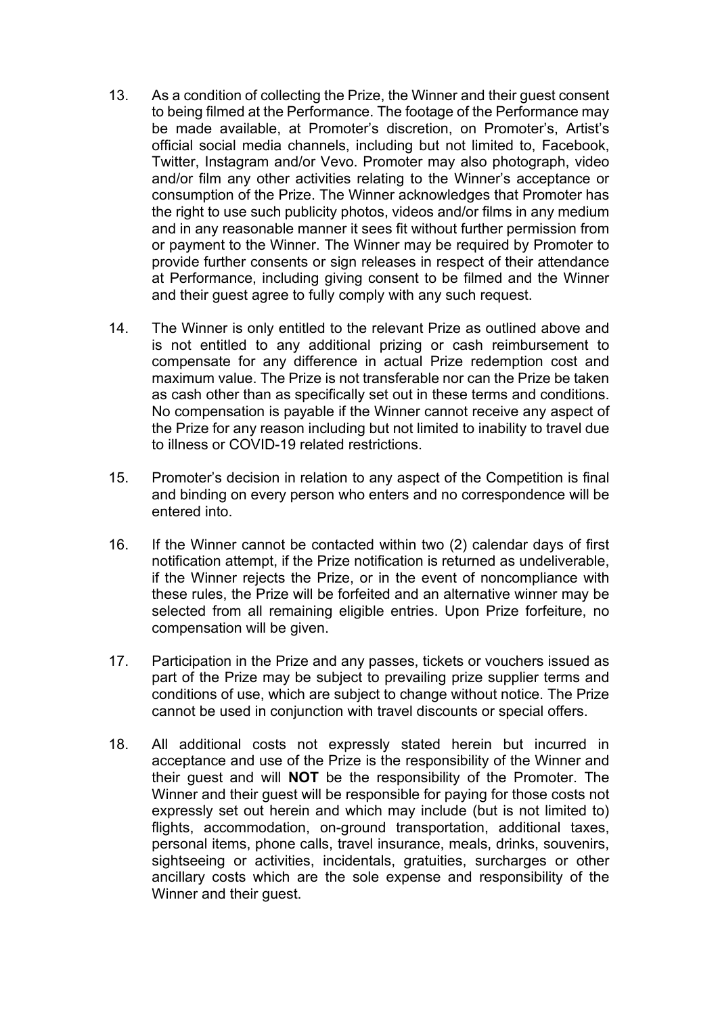- 13. As a condition of collecting the Prize, the Winner and their guest consent to being filmed at the Performance. The footage of the Performance may be made available, at Promoter's discretion, on Promoter's, Artist's official social media channels, including but not limited to, Facebook, Twitter, Instagram and/or Vevo. Promoter may also photograph, video and/or film any other activities relating to the Winner's acceptance or consumption of the Prize. The Winner acknowledges that Promoter has the right to use such publicity photos, videos and/or films in any medium and in any reasonable manner it sees fit without further permission from or payment to the Winner. The Winner may be required by Promoter to provide further consents or sign releases in respect of their attendance at Performance, including giving consent to be filmed and the Winner and their guest agree to fully comply with any such request.
- 14. The Winner is only entitled to the relevant Prize as outlined above and is not entitled to any additional prizing or cash reimbursement to compensate for any difference in actual Prize redemption cost and maximum value. The Prize is not transferable nor can the Prize be taken as cash other than as specifically set out in these terms and conditions. No compensation is payable if the Winner cannot receive any aspect of the Prize for any reason including but not limited to inability to travel due to illness or COVID-19 related restrictions.
- 15. Promoter's decision in relation to any aspect of the Competition is final and binding on every person who enters and no correspondence will be entered into.
- 16. If the Winner cannot be contacted within two (2) calendar days of first notification attempt, if the Prize notification is returned as undeliverable, if the Winner rejects the Prize, or in the event of noncompliance with these rules, the Prize will be forfeited and an alternative winner may be selected from all remaining eligible entries. Upon Prize forfeiture, no compensation will be given.
- 17. Participation in the Prize and any passes, tickets or vouchers issued as part of the Prize may be subject to prevailing prize supplier terms and conditions of use, which are subject to change without notice. The Prize cannot be used in conjunction with travel discounts or special offers.
- 18. All additional costs not expressly stated herein but incurred in acceptance and use of the Prize is the responsibility of the Winner and their guest and will **NOT** be the responsibility of the Promoter. The Winner and their guest will be responsible for paying for those costs not expressly set out herein and which may include (but is not limited to) flights, accommodation, on-ground transportation, additional taxes, personal items, phone calls, travel insurance, meals, drinks, souvenirs, sightseeing or activities, incidentals, gratuities, surcharges or other ancillary costs which are the sole expense and responsibility of the Winner and their guest.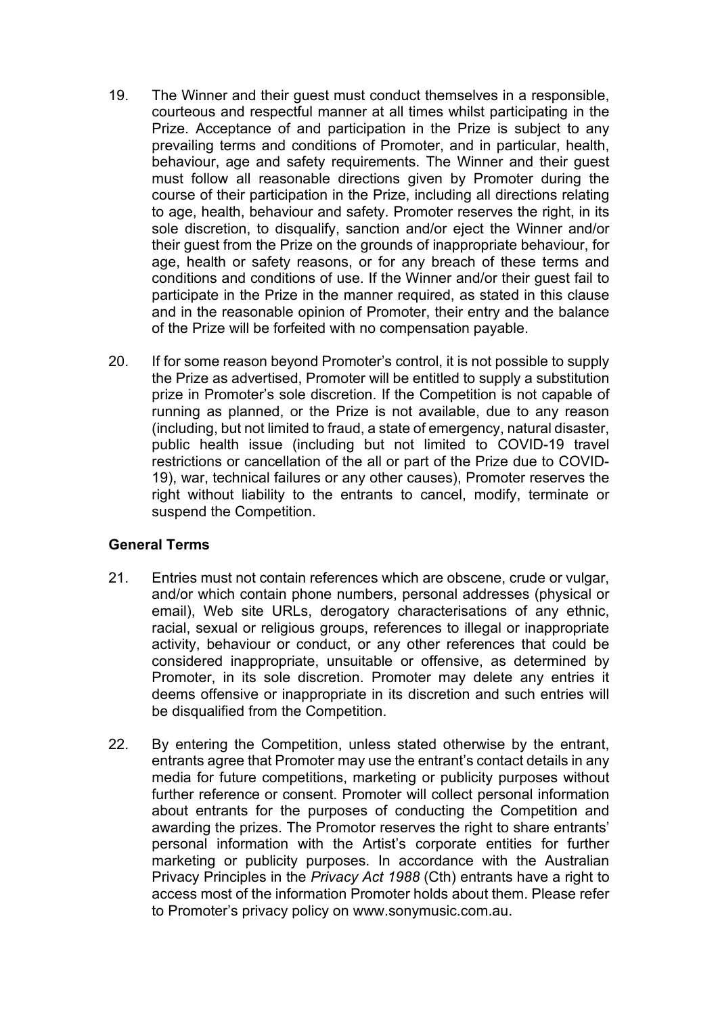- 19. The Winner and their guest must conduct themselves in a responsible, courteous and respectful manner at all times whilst participating in the Prize. Acceptance of and participation in the Prize is subject to any prevailing terms and conditions of Promoter, and in particular, health, behaviour, age and safety requirements. The Winner and their guest must follow all reasonable directions given by Promoter during the course of their participation in the Prize, including all directions relating to age, health, behaviour and safety. Promoter reserves the right, in its sole discretion, to disqualify, sanction and/or eject the Winner and/or their guest from the Prize on the grounds of inappropriate behaviour, for age, health or safety reasons, or for any breach of these terms and conditions and conditions of use. If the Winner and/or their guest fail to participate in the Prize in the manner required, as stated in this clause and in the reasonable opinion of Promoter, their entry and the balance of the Prize will be forfeited with no compensation payable.
- 20. If for some reason beyond Promoter's control, it is not possible to supply the Prize as advertised, Promoter will be entitled to supply a substitution prize in Promoter's sole discretion. If the Competition is not capable of running as planned, or the Prize is not available, due to any reason (including, but not limited to fraud, a state of emergency, natural disaster, public health issue (including but not limited to COVID-19 travel restrictions or cancellation of the all or part of the Prize due to COVID-19), war, technical failures or any other causes), Promoter reserves the right without liability to the entrants to cancel, modify, terminate or suspend the Competition.

#### **General Terms**

- 21. Entries must not contain references which are obscene, crude or vulgar, and/or which contain phone numbers, personal addresses (physical or email), Web site URLs, derogatory characterisations of any ethnic, racial, sexual or religious groups, references to illegal or inappropriate activity, behaviour or conduct, or any other references that could be considered inappropriate, unsuitable or offensive, as determined by Promoter, in its sole discretion. Promoter may delete any entries it deems offensive or inappropriate in its discretion and such entries will be disqualified from the Competition.
- 22. By entering the Competition, unless stated otherwise by the entrant, entrants agree that Promoter may use the entrant's contact details in any media for future competitions, marketing or publicity purposes without further reference or consent. Promoter will collect personal information about entrants for the purposes of conducting the Competition and awarding the prizes. The Promotor reserves the right to share entrants' personal information with the Artist's corporate entities for further marketing or publicity purposes. In accordance with the Australian Privacy Principles in the *Privacy Act 1988* (Cth) entrants have a right to access most of the information Promoter holds about them. Please refer to Promoter's privacy policy on www.sonymusic.com.au.